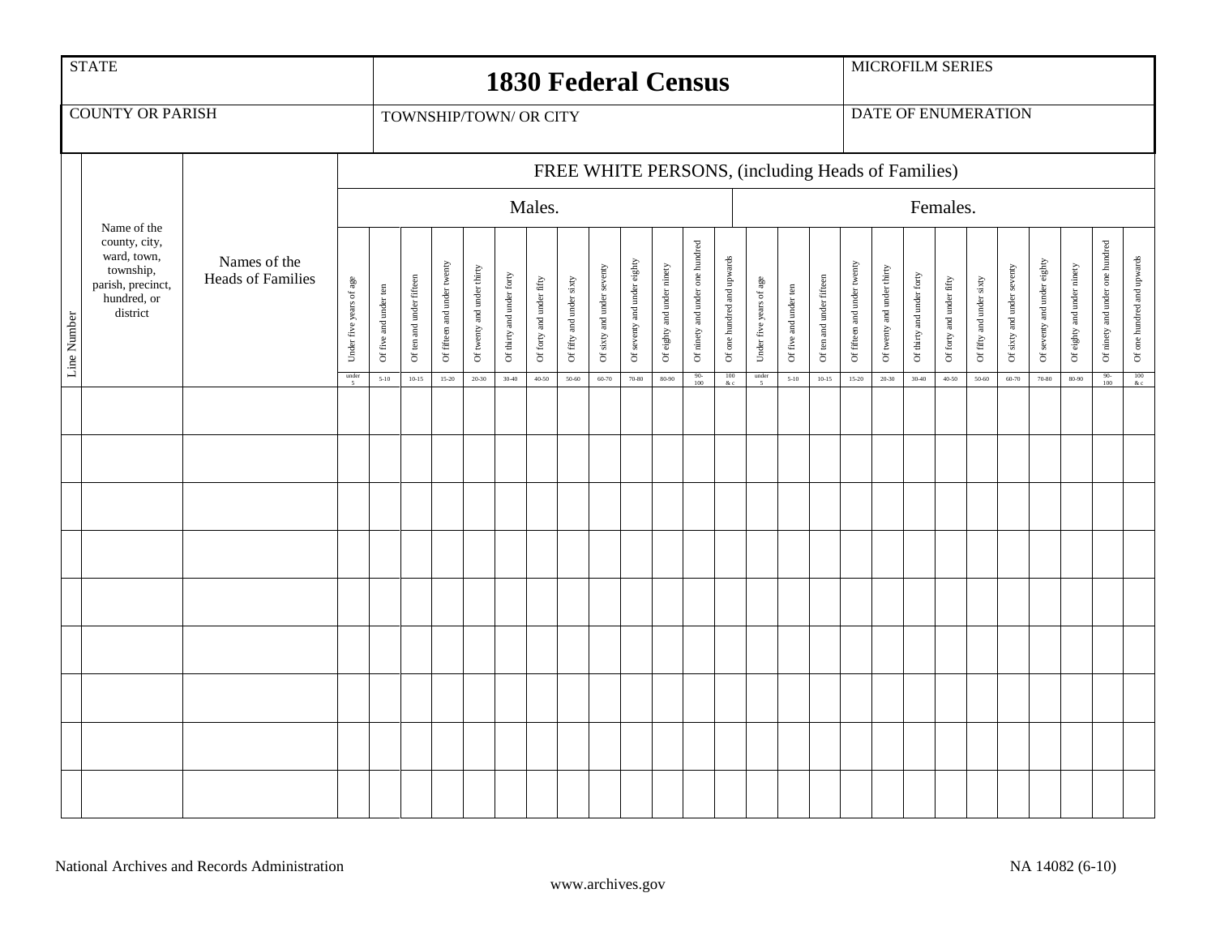|             | <b>STATE</b>                                                                                             | <b>1830 Federal Census</b>               |                          |                                                             |                          |                             |                            |                           |                          |                          |                            |                             |                            |                                 |                            | <b>MICROFILM SERIES</b>  |                       |                          |                             |                            |                           |                          |                          |                            |                             |                            |                                 |                                                   |
|-------------|----------------------------------------------------------------------------------------------------------|------------------------------------------|--------------------------|-------------------------------------------------------------|--------------------------|-----------------------------|----------------------------|---------------------------|--------------------------|--------------------------|----------------------------|-----------------------------|----------------------------|---------------------------------|----------------------------|--------------------------|-----------------------|--------------------------|-----------------------------|----------------------------|---------------------------|--------------------------|--------------------------|----------------------------|-----------------------------|----------------------------|---------------------------------|---------------------------------------------------|
|             | <b>COUNTY OR PARISH</b>                                                                                  | TOWNSHIP/TOWN/ OR CITY                   |                          |                                                             |                          |                             |                            |                           |                          |                          |                            |                             |                            |                                 |                            | DATE OF ENUMERATION      |                       |                          |                             |                            |                           |                          |                          |                            |                             |                            |                                 |                                                   |
|             |                                                                                                          |                                          |                          | FREE WHITE PERSONS, (including Heads of Families)<br>Males. |                          |                             |                            |                           |                          |                          |                            |                             |                            |                                 |                            |                          |                       |                          |                             |                            |                           |                          |                          |                            |                             |                            |                                 |                                                   |
|             |                                                                                                          |                                          |                          |                                                             |                          |                             |                            |                           |                          |                          |                            |                             |                            |                                 |                            | Females.                 |                       |                          |                             |                            |                           |                          |                          |                            |                             |                            |                                 |                                                   |
| Line Number | Name of the<br>county, city,<br>ward, town,<br>township,<br>parish, precinct,<br>hundred, or<br>district | Names of the<br><b>Heads of Families</b> | Under five years of age  | Of five and under ten                                       | Of ten and under fifteen | Of fifteen and under twenty | Of twenty and under thirty | Of thirty and under forty | Of forty and under fifty | Of fifty and under sixty | Of sixty and under seventy | Of seventy and under eighty | Of eighty and under ninety | Of ninety and under one hundred | Of one hundred and upwards | Under five years of age  | Of five and under ten | Of ten and under fifteen | Of fifteen and under twenty | Of twenty and under thirty | Of thirty and under forty | Of forty and under fifty | Of fifty and under sixty | Of sixty and under seventy | Of seventy and under eighty | Of eighty and under ninety | Of ninety and under one hundred | Of one hundred and upwards                        |
|             |                                                                                                          |                                          | $\frac{\text{under}}{5}$ | $5-10$                                                      | $10 - 15$                | 15-20                       | $20 - 30$                  | $30 - 40$                 | $40 - 50$                | 50-60                    | 60-70                      | $70 - 80$                   | 80-90                      | $\frac{90}{100}$                | $\frac{100}{&c}$           | $\frac{\text{under}}{5}$ | $5 - 10$              | $10 - 15$                | $15 - 20$                   | $20 - 30$                  | $30 - 40$                 | $40 - 50$                | 50-60                    | $60 - 70$                  | 70-80                       | $80 - 90$                  | $\frac{90}{100}$                | $\begin{array}{c} 100 \\ \& \text{c} \end{array}$ |
|             |                                                                                                          |                                          |                          |                                                             |                          |                             |                            |                           |                          |                          |                            |                             |                            |                                 |                            |                          |                       |                          |                             |                            |                           |                          |                          |                            |                             |                            |                                 |                                                   |
|             |                                                                                                          |                                          |                          |                                                             |                          |                             |                            |                           |                          |                          |                            |                             |                            |                                 |                            |                          |                       |                          |                             |                            |                           |                          |                          |                            |                             |                            |                                 |                                                   |
|             |                                                                                                          |                                          |                          |                                                             |                          |                             |                            |                           |                          |                          |                            |                             |                            |                                 |                            |                          |                       |                          |                             |                            |                           |                          |                          |                            |                             |                            |                                 |                                                   |
|             |                                                                                                          |                                          |                          |                                                             |                          |                             |                            |                           |                          |                          |                            |                             |                            |                                 |                            |                          |                       |                          |                             |                            |                           |                          |                          |                            |                             |                            |                                 |                                                   |
|             |                                                                                                          |                                          |                          |                                                             |                          |                             |                            |                           |                          |                          |                            |                             |                            |                                 |                            |                          |                       |                          |                             |                            |                           |                          |                          |                            |                             |                            |                                 |                                                   |
|             |                                                                                                          |                                          |                          |                                                             |                          |                             |                            |                           |                          |                          |                            |                             |                            |                                 |                            |                          |                       |                          |                             |                            |                           |                          |                          |                            |                             |                            |                                 |                                                   |
|             |                                                                                                          |                                          |                          |                                                             |                          |                             |                            |                           |                          |                          |                            |                             |                            |                                 |                            |                          |                       |                          |                             |                            |                           |                          |                          |                            |                             |                            |                                 |                                                   |
|             |                                                                                                          |                                          |                          |                                                             |                          |                             |                            |                           |                          |                          |                            |                             |                            |                                 |                            |                          |                       |                          |                             |                            |                           |                          |                          |                            |                             |                            |                                 |                                                   |
|             |                                                                                                          |                                          |                          |                                                             |                          |                             |                            |                           |                          |                          |                            |                             |                            |                                 |                            |                          |                       |                          |                             |                            |                           |                          |                          |                            |                             |                            |                                 |                                                   |